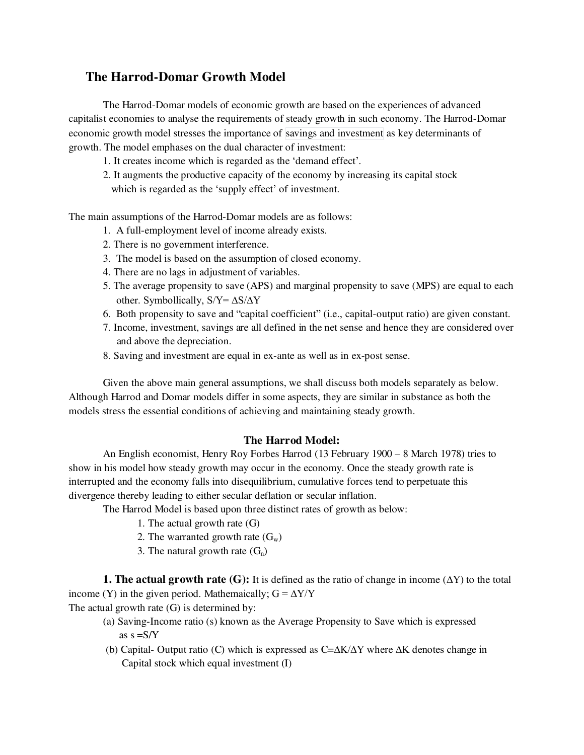# **The Harrod-Domar Growth Model**

The Harrod-Domar models of economic growth are based on the experiences of advanced capitalist economies to analyse the requirements of steady growth in such economy. The Harrod-Domar economic growth model stresses the importance of savings and investment as key determinants of growth. The model emphases on the dual character of investment:

- 1. It creates income which is regarded as the 'demand effect'.
- 2. It augments the productive capacity of the economy by increasing its capital stock which is regarded as the 'supply effect' of investment.

The main assumptions of the Harrod-Domar models are as follows:

- 1. A full-employment level of income already exists.
- 2. There is no government interference.
- 3. The model is based on the assumption of closed economy.
- 4. There are no lags in adjustment of variables.
- 5. The average propensity to save (APS) and marginal propensity to save (MPS) are equal to each other. Symbollically, S/Y= ∆S/∆Y
- 6.Both propensity to save and "capital coefficient" (i.e., capital-output ratio) are given constant.
- 7. Income, investment, savings are all defined in the net sense and hence they are considered over and above the depreciation.
- 8. Saving and investment are equal in ex-ante as well as in ex-post sense.

Given the above main general assumptions, we shall discuss both models separately as below. Although Harrod and Domar models differ in some aspects, they are similar in substance as both the models stress the essential conditions of achieving and maintaining steady growth.

# **The Harrod Model:**

An English economist, Henry Roy Forbes Harrod (13 February 1900 – 8 March 1978) tries to show in his model how steady growth may occur in the economy. Once the steady growth rate is interrupted and the economy falls into disequilibrium, cumulative forces tend to perpetuate this divergence thereby leading to either secular deflation or secular inflation.

The Harrod Model is based upon three distinct rates of growth as below:

- 1. The actual growth rate (G)
- 2. The warranted growth rate  $(G_w)$
- 3. The natural growth rate  $(G_n)$

**1. The actual growth rate (G):** It is defined as the ratio of change in income  $(\Delta Y)$  to the total income (Y) in the given period. Mathemaically;  $G = \Delta Y/Y$ 

The actual growth rate (G) is determined by:

- (a) Saving-Income ratio (s) known as the Average Propensity to Save which is expressed as  $s = S/Y$
- (b) Capital- Output ratio (C) which is expressed as C=∆K/∆Y where ∆K denotes change in Capital stock which equal investment (I)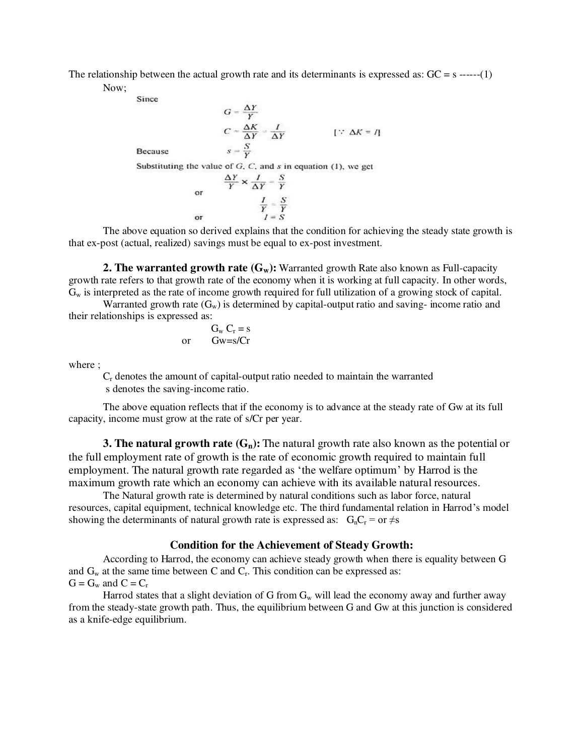The relationship between the actual growth rate and its determinants is expressed as:  $GC = s$  ------(1)

Now;

Since

$$
G = \frac{\Delta Y}{Y}
$$
  
\n
$$
C = \frac{\Delta K}{\Delta Y} = \frac{I}{\Delta Y}
$$
 [∵  $\Delta K = I$ ]  
\nBecause  
\n
$$
s = \frac{S}{Y}
$$
  
\nSubstituting the value of G, C, and s in equation (1), we get  
\n
$$
\frac{\Delta Y}{Y} \times \frac{I}{\Delta Y} = \frac{S}{Y}
$$
  
\nor  
\n
$$
\frac{I}{Y} = \frac{S}{Y}
$$
  
\nor  
\n
$$
I = S
$$

The above equation so derived explains that the condition for achieving the steady state growth is that ex-post (actual, realized) savings must be equal to ex-post investment.

**2. The warranted growth rate (G<sub>w</sub>):** Warranted growth Rate also known as Full-capacity growth rate refers to that growth rate of the economy when it is working at full capacity. In other words,  $G_w$  is interpreted as the rate of income growth required for full utilization of a growing stock of capital.

Warranted growth rate  $(G_w)$  is determined by capital-output ratio and saving- income ratio and their relationships is expressed as:

$$
G_w C_r = s
$$
  
or  $Gw = s/Cr$ 

where ;

Cr denotes the amount of capital-output ratio needed to maintain the warranted s denotes the saving-income ratio.

The above equation reflects that if the economy is to advance at the steady rate of Gw at its full capacity, income must grow at the rate of s/Cr per year.

**3. The natural growth rate (Gn):** The natural growth rate also known as the potential or the full employment rate of growth is the rate of economic growth required to maintain full employment. The natural growth rate regarded as 'the welfare optimum' by Harrod is the maximum growth rate which an economy can achieve with its available natural resources.

The Natural growth rate is determined by natural conditions such as labor force, natural resources, capital equipment, technical knowledge etc. The third fundamental relation in Harrod's model showing the determinants of natural growth rate is expressed as:  $G_nC_r = or \neq s$ 

### **Condition for the Achievement of Steady Growth:**

 According to Harrod, the economy can achieve steady growth when there is equality between G and  $G_w$  at the same time between C and  $C_r$ . This condition can be expressed as:  $G = G_w$  and  $C = C_r$ 

Harrod states that a slight deviation of G from  $G_w$  will lead the economy away and further away from the steady-state growth path. Thus, the equilibrium between G and Gw at this junction is considered as a knife-edge equilibrium.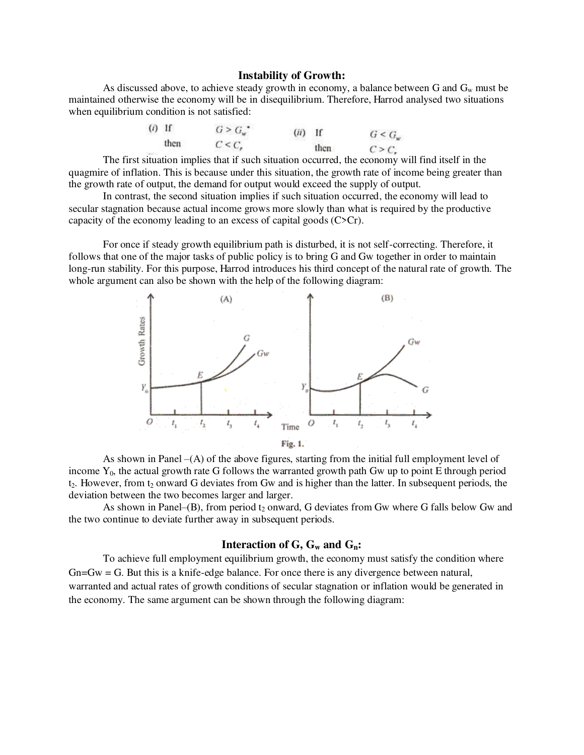#### **Instability of Growth:**

As discussed above, to achieve steady growth in economy, a balance between G and  $G_w$  must be maintained otherwise the economy will be in disequilibrium. Therefore, Harrod analysed two situations when equilibrium condition is not satisfied:

| $(i)$ If |      | $G > G_w$ <sup>*</sup> | $(ii)$ If |      | $G < G_w$ |
|----------|------|------------------------|-----------|------|-----------|
|          | then | $C < C$ ,              |           | then | C > C     |

The first situation implies that if such situation occurred, the economy will find itself in the quagmire of inflation. This is because under this situation, the growth rate of income being greater than the growth rate of output, the demand for output would exceed the supply of output.

In contrast, the second situation implies if such situation occurred, the economy will lead to secular stagnation because actual income grows more slowly than what is required by the productive capacity of the economy leading to an excess of capital goods (C>Cr).

For once if steady growth equilibrium path is disturbed, it is not self-correcting. Therefore, it follows that one of the major tasks of public policy is to bring G and Gw together in order to maintain long-run stability. For this purpose, Harrod introduces his third concept of the natural rate of growth. The whole argument can also be shown with the help of the following diagram:



As shown in Panel –(A) of the above figures, starting from the initial full employment level of income  $Y_0$ , the actual growth rate G follows the warranted growth path Gw up to point E through period  $t_2$ . However, from  $t_2$  onward G deviates from Gw and is higher than the latter. In subsequent periods, the deviation between the two becomes larger and larger.

As shown in Panel– $(B)$ , from period  $t_2$  onward, G deviates from Gw where G falls below Gw and the two continue to deviate further away in subsequent periods.

#### **Interaction of G, Gw and Gn:**

To achieve full employment equilibrium growth, the economy must satisfy the condition where  $G_n = G_w = G$ . But this is a knife-edge balance. For once there is any divergence between natural, warranted and actual rates of growth conditions of secular stagnation or inflation would be generated in the economy. The same argument can be shown through the following diagram: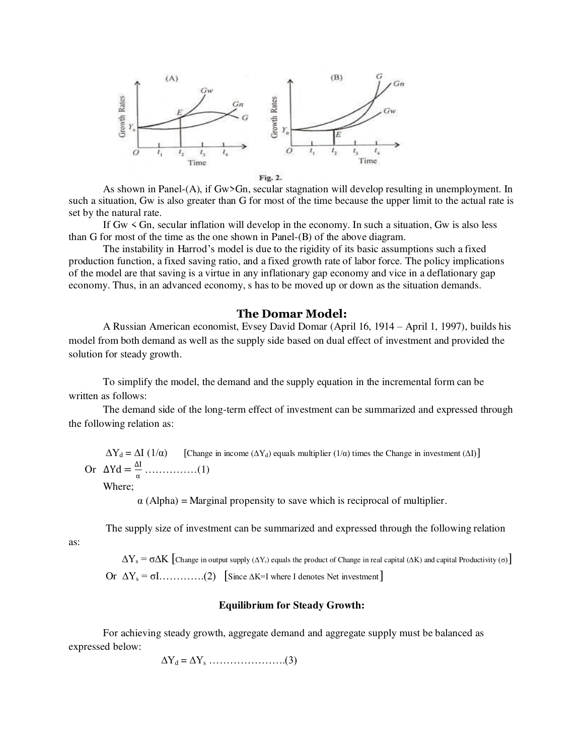

Fig. 2.

As shown in Panel-(A), if Gw>Gn, secular stagnation will develop resulting in unemployment. In such a situation, Gw is also greater than G for most of the time because the upper limit to the actual rate is set by the natural rate.

If Gw < Gn, secular inflation will develop in the economy. In such a situation, Gw is also less than G for most of the time as the one shown in Panel-(B) of the above diagram.

The instability in Harrod's model is due to the rigidity of its basic assumptions such a fixed production function, a fixed saving ratio, and a fixed growth rate of labor force. The policy implications of the model are that saving is a virtue in any inflationary gap economy and vice in a deflationary gap economy. Thus, in an advanced economy, s has to be moved up or down as the situation demands.

### **The Domar Model:**

[A Russian American](https://en.wikipedia.org/wiki/Russian_American) [economist,](https://en.wikipedia.org/wiki/Economist) Evsey David Domar (April 16, 1914 – April 1, 1997), builds his model from both demand as well as the supply side based on dual effect of investment and provided the solution for steady growth.

To simplify the model, the demand and the supply equation in the incremental form can be written as follows:

The demand side of the long-term effect of investment can be summarized and expressed through the following relation as:

 $\Delta Y_d = \Delta I$  (1/ $\alpha$ ) [Change in income ( $\Delta Y_d$ ) equals multiplier (1/ $\alpha$ ) times the Change in investment ( $\Delta I$ )] Or  $\Delta Yd = \frac{\Delta I}{\alpha}$ α ……………(1)

Where;

 $\alpha$  (Alpha) = Marginal propensity to save which is reciprocal of multiplier.

The supply size of investment can be summarized and expressed through the following relation

as:

 $\Delta Y_s = \sigma \Delta K$  [Change in output supply ( $\Delta Y_s$ ) equals the product of Change in real capital ( $\Delta K$ ) and capital Productivity ( $\sigma$ )] Or  $\Delta Y_s = \sigma I$ .............(2) [Since  $\Delta K = I$  where I denotes Net investment]

### **Equilibrium for Steady Growth:**

For achieving steady growth, aggregate demand and aggregate supply must be balanced as expressed below:

 $\Delta Y_d = \Delta Y_s$  ………………………….(3)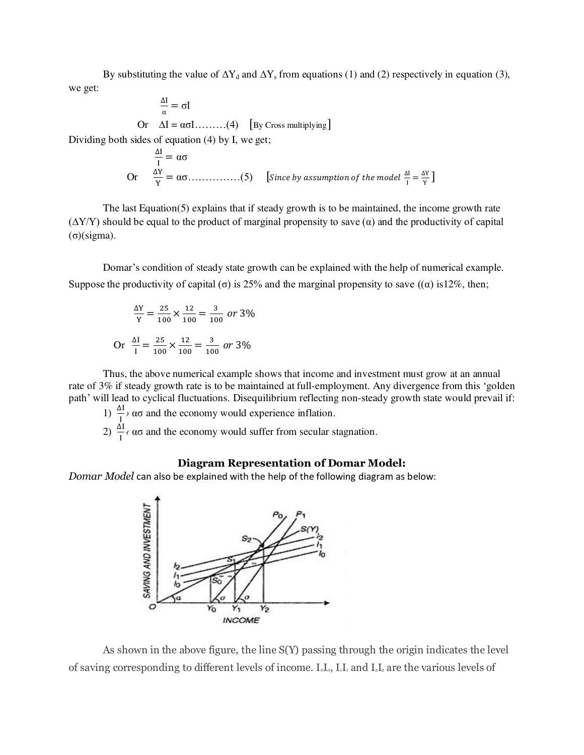By substituting the value of  $\Delta Y_d$  and  $\Delta Y_s$  from equations (1) and (2) respectively in equation (3), we get:

$$
\frac{\Delta I}{\alpha} = \sigma I
$$
  
Or  $\Delta I = \alpha \sigma I$ ........(4) [By Cross multiplying]  
Dividing both sides of equation (4) by I, we get;

$$
\frac{\Delta I}{I} = \alpha \sigma
$$
  
Or 
$$
\frac{\Delta Y}{Y} = \alpha \sigma
$$
............(5) [Since by assumption of the model  $\frac{\Delta I}{I} = \frac{\Delta Y}{Y}$ ]

The last Equation(5) explains that if steady growth is to be maintained, the income growth rate  $(\Delta Y/Y)$  should be equal to the product of marginal propensity to save  $(\alpha)$  and the productivity of capital (σ)(sigma).

Domar's condition of steady state growth can be explained with the help of numerical example. Suppose the productivity of capital (σ) is 25% and the marginal propensity to save  $((\alpha)$  is 12%, then;

$$
\frac{\Delta Y}{Y} = \frac{25}{100} \times \frac{12}{100} = \frac{3}{100} \text{ or } 3\%
$$
  
Or 
$$
\frac{\Delta I}{I} = \frac{25}{100} \times \frac{12}{100} = \frac{3}{100} \text{ or } 3\%
$$

I

Thus, the above numerical example shows that income and investment must grow at an annual rate of 3% if steady growth rate is to be maintained at full-employment. Any divergence from this 'golden path' will lead to cyclical fluctuations. Disequilibrium reflecting non-steady growth state would prevail if:

1)  $\frac{\Delta I}{I}$  ασ and the economy would experience inflation.

2)  $\frac{\Delta I}{I}$  *(* ασ and the economy would suffer from secular stagnation.

### **Diagram Representation of Domar Model:**

*Domar Model* can also be explained with the help of the following diagram as below:



As shown in the above figure, the line S(Y) passing through the origin indicates the level of saving corresponding to different levels of income.  $I_0I_0$ ,  $I_1I_1$  and  $I_2I_2$  are the various levels of